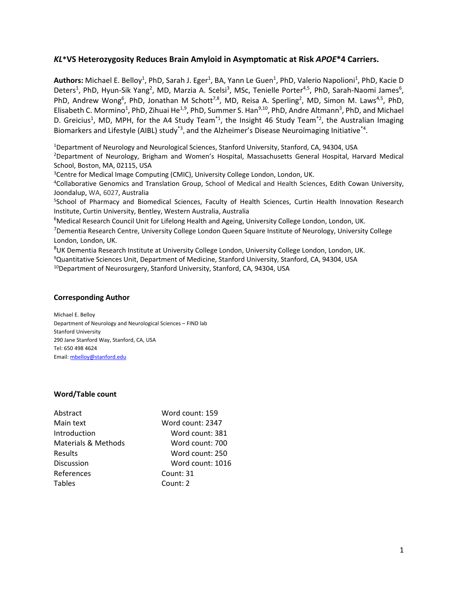## *KL***\*VS Heterozygosity Reduces Brain Amyloid in Asymptomatic at Risk** *APOE***\*4 Carriers.**

Authors: Michael E. Belloy<sup>1</sup>, PhD, Sarah J. Eger<sup>1</sup>, BA, Yann Le Guen<sup>1</sup>, PhD, Valerio Napolioni<sup>1</sup>, PhD, Kacie D Deters<sup>1</sup>, PhD, Hyun-Sik Yang<sup>2</sup>, MD, Marzia A. Scelsi<sup>3</sup>, MSc, Tenielle Porter<sup>4,5</sup>, PhD, Sarah-Naomi James<sup>6</sup>, PhD, Andrew Wong<sup>6</sup>, PhD, Jonathan M Schott<sup>7,8</sup>, MD, Reisa A. Sperling<sup>2</sup>, MD, Simon M. Laws<sup>4,5</sup>, PhD, Elisabeth C. Mormino<sup>1</sup>, PhD, Zihuai He<sup>1,9</sup>, PhD, Summer S. Han<sup>9,10</sup>, PhD, Andre Altmann<sup>3</sup>, PhD, and Michael D. Greicius<sup>1</sup>, MD, MPH, for the A4 Study Team<sup>\*1</sup>, the Insight 46 Study Team<sup>\*2</sup>, the Australian Imaging Biomarkers and Lifestyle (AIBL) study<sup>\*3</sup>, and the Alzheimer's Disease Neuroimaging Initiative<sup>\*4</sup>.

<sup>1</sup>Department of Neurology and Neurological Sciences, Stanford University, Stanford, CA, 94304, USA

<sup>2</sup>Department of Neurology, Brigham and Women's Hospital, Massachusetts General Hospital, Harvard Medical School, Boston, MA, 02115, USA

<sup>3</sup>Centre for Medical Image Computing (CMIC), University College London, London, UK.

<sup>4</sup>Collaborative Genomics and Translation Group, School of Medical and Health Sciences, Edith Cowan University, Joondalup, WA, 6027, Australia

5 School of Pharmacy and Biomedical Sciences, Faculty of Health Sciences, Curtin Health Innovation Research Institute, Curtin University, Bentley, Western Australia, Australia

<sup>6</sup>Medical Research Council Unit for Lifelong Health and Ageing, University College London, London, UK.

<sup>7</sup>Dementia Research Centre, University College London Queen Square Institute of Neurology, University College London, London, UK.

<sup>8</sup>UK Dementia Research Institute at University College London, University College London, London, UK.

<sup>9</sup>Quantitative Sciences Unit, Department of Medicine, Stanford University, Stanford, CA, 94304, USA

<sup>10</sup>Department of Neurosurgery, Stanford University, Stanford, CA, 94304, USA

## **Corresponding Author**

Michael E. Belloy Department of Neurology and Neurological Sciences – FIND lab Stanford University 290 Jane Stanford Way, Stanford, CA, USA Tel: 650 498 4624 Email: [mbelloy@stanford.edu](mailto:mbelloy@stanford.edu)

### **Word/Table count**

| Abstract                       | Word count: 159  |
|--------------------------------|------------------|
| Main text                      | Word count: 2347 |
| Introduction                   | Word count: 381  |
| <b>Materials &amp; Methods</b> | Word count: 700  |
| Results                        | Word count: 250  |
| <b>Discussion</b>              | Word count: 1016 |
| References                     | Count: 31        |
| <b>Tables</b>                  | Count: 2         |
|                                |                  |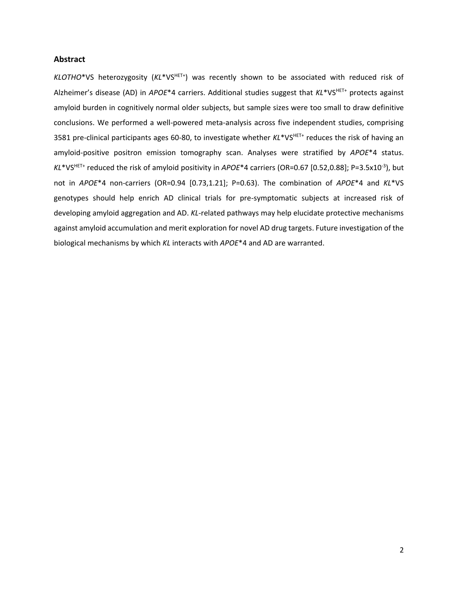#### **Abstract**

KLOTHO\*VS heterozygosity (KL\*VS<sup>HET+</sup>) was recently shown to be associated with reduced risk of Alzheimer's disease (AD) in *APOE*\*4 carriers. Additional studies suggest that *KL*\*VSHET+ protects against amyloid burden in cognitively normal older subjects, but sample sizes were too small to draw definitive conclusions. We performed a well-powered meta-analysis across five independent studies, comprising 3581 pre-clinical participants ages 60-80, to investigate whether *KL*\*VS<sup>HET+</sup> reduces the risk of having an amyloid-positive positron emission tomography scan. Analyses were stratified by *APOE*\*4 status. *KL*\*VSHET+ reduced the risk of amyloid positivity in *APOE*\*4 carriers (OR=0.67 [0.52,0.88]; P=3.5x10-3 ), but not in *APOE*\*4 non-carriers (OR=0.94 [0.73,1.21]; P=0.63). The combination of *APOE*\*4 and *KL*\*VS genotypes should help enrich AD clinical trials for pre-symptomatic subjects at increased risk of developing amyloid aggregation and AD. *KL*-related pathways may help elucidate protective mechanisms against amyloid accumulation and merit exploration for novel AD drug targets. Future investigation of the biological mechanisms by which *KL* interacts with *APOE*\*4 and AD are warranted.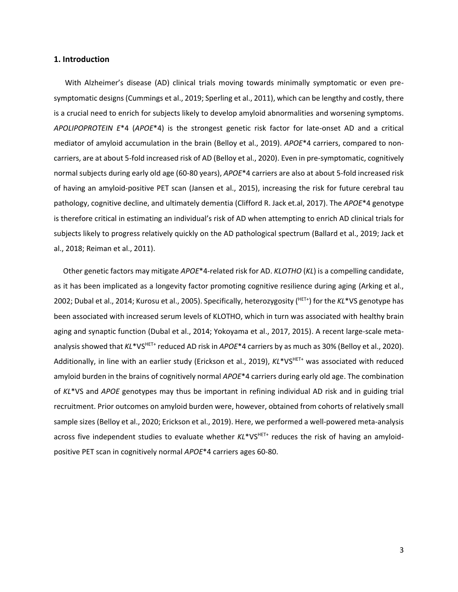#### **1. Introduction**

 With Alzheimer's disease (AD) clinical trials moving towards minimally symptomatic or even presymptomatic designs (Cummings et al., 2019; Sperling et al., 2011), which can be lengthy and costly, there is a crucial need to enrich for subjects likely to develop amyloid abnormalities and worsening symptoms. *APOLIPOPROTEIN E*\*4 (*APOE*\*4) is the strongest genetic risk factor for late-onset AD and a critical mediator of amyloid accumulation in the brain (Belloy et al., 2019). *APOE*\*4 carriers, compared to noncarriers, are at about 5-fold increased risk of AD (Belloy et al., 2020). Even in pre-symptomatic, cognitively normal subjects during early old age (60-80 years), *APOE*\*4 carriers are also at about 5-fold increased risk of having an amyloid-positive PET scan (Jansen et al., 2015), increasing the risk for future cerebral tau pathology, cognitive decline, and ultimately dementia (Clifford R. Jack et.al, 2017). The *APOE*\*4 genotype is therefore critical in estimating an individual's risk of AD when attempting to enrich AD clinical trials for subjects likely to progress relatively quickly on the AD pathological spectrum (Ballard et al., 2019; Jack et al., 2018; Reiman et al., 2011).

 Other genetic factors may mitigate *APOE*\*4-related risk for AD. *KLOTHO* (*KL*) is a compelling candidate, as it has been implicated as a longevity factor promoting cognitive resilience during aging (Arking et al., 2002; Dubal et al., 2014; Kurosu et al., 2005). Specifically, heterozygosity ( HET+) for the *KL*\*VS genotype has been associated with increased serum levels of KLOTHO, which in turn was associated with healthy brain aging and synaptic function (Dubal et al., 2014; Yokoyama et al., 2017, 2015). A recent large-scale metaanalysis showed that *KL*\*VS<sup>HET+</sup> reduced AD risk in *APOE*\*4 carriers by as much as 30% (Belloy et al., 2020). Additionally, in line with an earlier study (Erickson et al., 2019),  $KL*VS^{HET*}$  was associated with reduced amyloid burden in the brains of cognitively normal *APOE*\*4 carriers during early old age. The combination of *KL*\*VS and *APOE* genotypes may thus be important in refining individual AD risk and in guiding trial recruitment. Prior outcomes on amyloid burden were, however, obtained from cohorts of relatively small sample sizes (Belloy et al., 2020; Erickson et al., 2019). Here, we performed a well-powered meta-analysis across five independent studies to evaluate whether KL\*VS<sup>HET+</sup> reduces the risk of having an amyloidpositive PET scan in cognitively normal *APOE*\*4 carriers ages 60-80.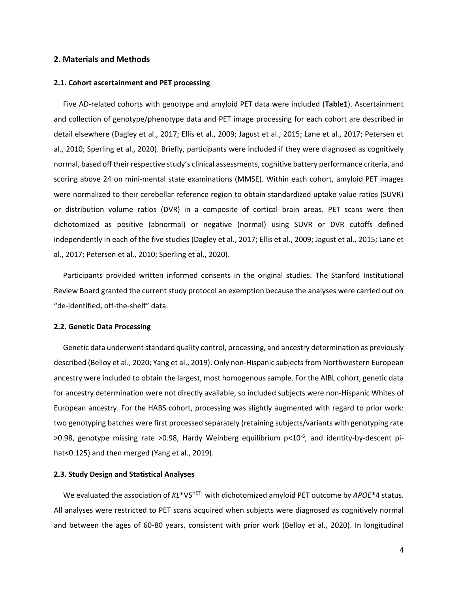#### **2. Materials and Methods**

#### **2.1. Cohort ascertainment and PET processing**

 Five AD-related cohorts with genotype and amyloid PET data were included (**Table1**). Ascertainment and collection of genotype/phenotype data and PET image processing for each cohort are described in detail elsewhere (Dagley et al., 2017; Ellis et al., 2009; Jagust et al., 2015; Lane et al., 2017; Petersen et al., 2010; Sperling et al., 2020). Briefly, participants were included if they were diagnosed as cognitively normal, based off their respective study's clinical assessments, cognitive battery performance criteria, and scoring above 24 on mini-mental state examinations (MMSE). Within each cohort, amyloid PET images were normalized to their cerebellar reference region to obtain standardized uptake value ratios (SUVR) or distribution volume ratios (DVR) in a composite of cortical brain areas. PET scans were then dichotomized as positive (abnormal) or negative (normal) using SUVR or DVR cutoffs defined independently in each of the five studies (Dagley et al., 2017; Ellis et al., 2009; Jagust et al., 2015; Lane et al., 2017; Petersen et al., 2010; Sperling et al., 2020).

 Participants provided written informed consents in the original studies. The Stanford Institutional Review Board granted the current study protocol an exemption because the analyses were carried out on "de-identified, off-the-shelf" data.

#### **2.2. Genetic Data Processing**

 Genetic data underwent standard quality control, processing, and ancestry determination as previously described (Belloy et al., 2020; Yang et al., 2019). Only non-Hispanic subjects from Northwestern European ancestry were included to obtain the largest, most homogenous sample. For the AIBL cohort, genetic data for ancestry determination were not directly available, so included subjects were non-Hispanic Whites of European ancestry. For the HABS cohort, processing was slightly augmented with regard to prior work: two genotyping batches were first processed separately (retaining subjects/variants with genotyping rate >0.98, genotype missing rate >0.98, Hardy Weinberg equilibrium p<10<sup>-6</sup>, and identity-by-descent pihat<0.125) and then merged (Yang et al., 2019).

### **2.3. Study Design and Statistical Analyses**

We evaluated the association of  $KL^*VS^{HET+}$  with dichotomized amyloid PET outcome by *APOE*\*4 status. All analyses were restricted to PET scans acquired when subjects were diagnosed as cognitively normal and between the ages of 60-80 years, consistent with prior work (Belloy et al., 2020). In longitudinal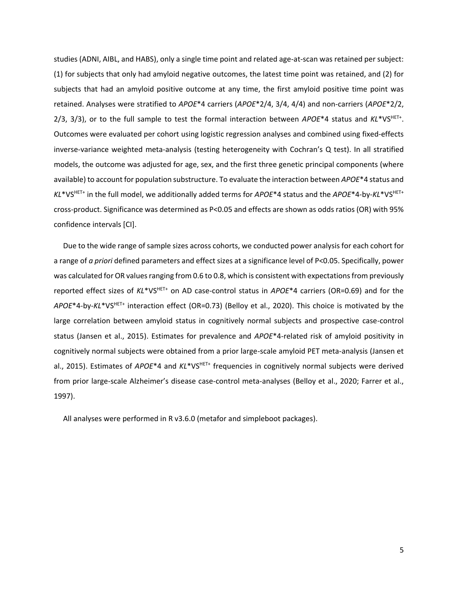studies (ADNI, AIBL, and HABS), only a single time point and related age-at-scan was retained per subject: (1) for subjects that only had amyloid negative outcomes, the latest time point was retained, and (2) for subjects that had an amyloid positive outcome at any time, the first amyloid positive time point was retained. Analyses were stratified to *APOE*\*4 carriers (*APOE*\*2/4, 3/4, 4/4) and non-carriers (*APOE*\*2/2, 2/3, 3/3), or to the full sample to test the formal interaction between APOE\*4 status and KL\*VS<sup>HET+</sup>. Outcomes were evaluated per cohort using logistic regression analyses and combined using fixed-effects inverse-variance weighted meta-analysis (testing heterogeneity with Cochran's Q test). In all stratified models, the outcome was adjusted for age, sex, and the first three genetic principal components (where available) to account for population substructure. To evaluate the interaction between *APOE*\*4 status and *KL*\*VSHET+ in the full model, we additionally added terms for *APOE*\*4 status and the *APOE*\*4-by-*KL*\*VSHET+ cross-product. Significance was determined as P<0.05 and effects are shown as odds ratios (OR) with 95% confidence intervals [CI].

 Due to the wide range of sample sizes across cohorts, we conducted power analysis for each cohort for a range of *a priori* defined parameters and effect sizes at a significance level of P<0.05. Specifically, power was calculated for OR values ranging from 0.6 to 0.8, which is consistent with expectations from previously reported effect sizes of *KL*\*VSHET+ on AD case-control status in *APOE*\*4 carriers (OR=0.69) and for the *APOE*\*4-by-*KL*\*VSHET+ interaction effect (OR=0.73) (Belloy et al., 2020). This choice is motivated by the large correlation between amyloid status in cognitively normal subjects and prospective case-control status (Jansen et al., 2015). Estimates for prevalence and *APOE*\*4-related risk of amyloid positivity in cognitively normal subjects were obtained from a prior large-scale amyloid PET meta-analysis (Jansen et al., 2015). Estimates of *APOE*\*4 and *KL*\*VS<sup>HET+</sup> frequencies in cognitively normal subjects were derived from prior large-scale Alzheimer's disease case-control meta-analyses (Belloy et al., 2020; Farrer et al., 1997).

All analyses were performed in R v3.6.0 (metafor and simpleboot packages).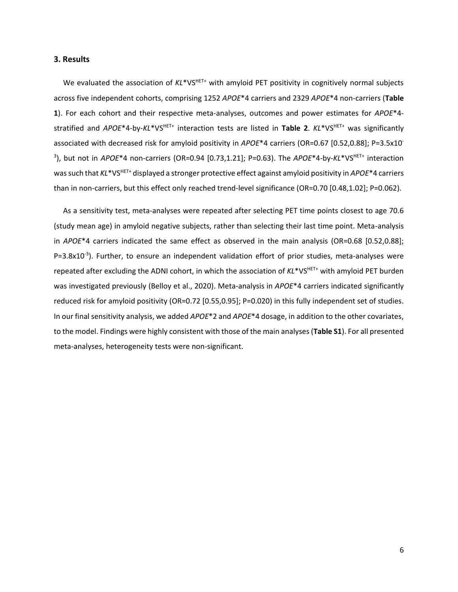#### **3. Results**

We evaluated the association of KL\*VS<sup>HET+</sup> with amyloid PET positivity in cognitively normal subjects across five independent cohorts, comprising 1252 *APOE*\*4 carriers and 2329 *APOE*\*4 non-carriers (**Table 1**). For each cohort and their respective meta-analyses, outcomes and power estimates for *APOE*\*4 stratified and *APOE*\*4-by-*KL*\*VSHET+ interaction tests are listed in **Table 2**. *KL*\*VSHET+ was significantly associated with decreased risk for amyloid positivity in *APOE*\*4 carriers (OR=0.67 [0.52,0.88]; P=3.5x10- 3 ), but not in *APOE*\*4 non-carriers (OR=0.94 [0.73,1.21]; P=0.63). The *APOE*\*4-by-*KL*\*VSHET+ interaction wassuch that *KL*\*VSHET+ displayed a stronger protective effect against amyloid positivity in *APOE*\*4 carriers than in non-carriers, but this effect only reached trend-level significance (OR=0.70 [0.48,1.02]; P=0.062).

 As a sensitivity test, meta-analyses were repeated after selecting PET time points closest to age 70.6 (study mean age) in amyloid negative subjects, rather than selecting their last time point. Meta-analysis in *APOE*\*4 carriers indicated the same effect as observed in the main analysis (OR=0.68 [0.52,0.88]; P=3.8x10<sup>-3</sup>). Further, to ensure an independent validation effort of prior studies, meta-analyses were repeated after excluding the ADNI cohort, in which the association of *KL*\*VSHET+ with amyloid PET burden was investigated previously (Belloy et al., 2020). Meta-analysis in *APOE*\*4 carriers indicated significantly reduced risk for amyloid positivity (OR=0.72 [0.55,0.95]; P=0.020) in this fully independent set of studies. In our final sensitivity analysis, we added *APOE*\*2 and *APOE*\*4 dosage, in addition to the other covariates, to the model. Findings were highly consistent with those of the main analyses (**Table S1**). For all presented meta-analyses, heterogeneity tests were non-significant.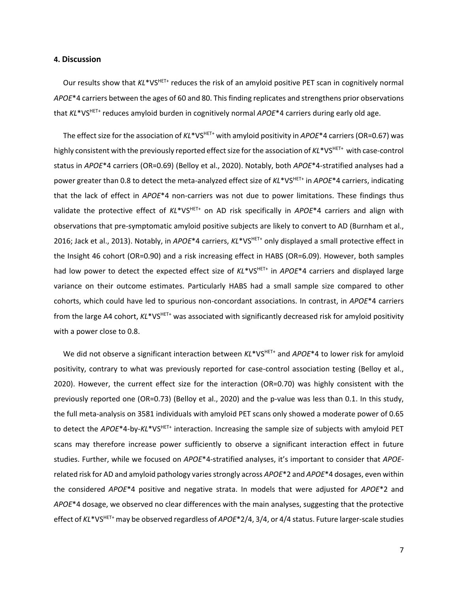#### **4. Discussion**

Our results show that  $KL^*VS^{HET+}$  reduces the risk of an amyloid positive PET scan in cognitively normal *APOE*\*4 carriers between the ages of 60 and 80. This finding replicates and strengthens prior observations that *KL*\*VSHET+ reduces amyloid burden in cognitively normal *APOE*\*4 carriers during early old age.

The effect size for the association of *KL*\*VS<sup>HET+</sup> with amyloid positivity in *APOE*\*4 carriers (OR=0.67) was highly consistent with the previously reported effect size for the association of KL\*VS<sup>HET+</sup> with case-control status in *APOE*\*4 carriers (OR=0.69) (Belloy et al., 2020). Notably, both *APOE*\*4-stratified analyses had a power greater than 0.8 to detect the meta-analyzed effect size of *KL*\*VSHET+ in *APOE*\*4 carriers, indicating that the lack of effect in *APOE*\*4 non-carriers was not due to power limitations. These findings thus validate the protective effect of *KL*\*VSHET+ on AD risk specifically in *APOE*\*4 carriers and align with observations that pre-symptomatic amyloid positive subjects are likely to convert to AD (Burnham et al., 2016; Jack et al., 2013). Notably, in *APOE*\*4 carriers, *KL*\*VS<sup>HET+</sup> only displayed a small protective effect in the Insight 46 cohort (OR=0.90) and a risk increasing effect in HABS (OR=6.09). However, both samples had low power to detect the expected effect size of KL\*VS<sup>HET+</sup> in *APOE*\*4 carriers and displayed large variance on their outcome estimates. Particularly HABS had a small sample size compared to other cohorts, which could have led to spurious non-concordant associations. In contrast, in *APOE*\*4 carriers from the large A4 cohort,  $KL^*VS^{HET+}$  was associated with significantly decreased risk for amyloid positivity with a power close to 0.8.

We did not observe a significant interaction between  $KL^*VS^{HET+}$  and  $APOE^*4$  to lower risk for amyloid positivity, contrary to what was previously reported for case-control association testing (Belloy et al., 2020). However, the current effect size for the interaction (OR=0.70) was highly consistent with the previously reported one (OR=0.73) (Belloy et al., 2020) and the p-value was less than 0.1. In this study, the full meta-analysis on 3581 individuals with amyloid PET scans only showed a moderate power of 0.65 to detect the *APOE*\*4-by-*KL*\*VSHET+ interaction. Increasing the sample size of subjects with amyloid PET scans may therefore increase power sufficiently to observe a significant interaction effect in future studies. Further, while we focused on *APOE*\*4-stratified analyses, it's important to consider that *APOE*related risk for AD and amyloid pathology varies strongly across *APOE*\*2 and *APOE*\*4 dosages, even within the considered *APOE*\*4 positive and negative strata. In models that were adjusted for *APOE*\*2 and *APOE*\*4 dosage, we observed no clear differences with the main analyses, suggesting that the protective effect of *KL*\*VSHET+ may be observed regardless of *APOE*\*2/4, 3/4, or 4/4 status. Future larger-scale studies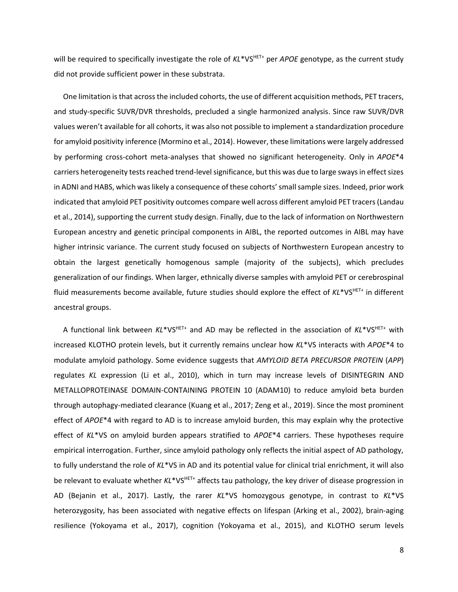will be required to specifically investigate the role of  $KL*VS<sup>HET+</sup>$  per *APOE* genotype, as the current study did not provide sufficient power in these substrata.

 One limitation is that across the included cohorts, the use of different acquisition methods, PET tracers, and study-specific SUVR/DVR thresholds, precluded a single harmonized analysis. Since raw SUVR/DVR values weren't available for all cohorts, it was also not possible to implement a standardization procedure for amyloid positivity inference (Mormino et al., 2014). However, these limitations were largely addressed by performing cross-cohort meta-analyses that showed no significant heterogeneity. Only in *APOE*\*4 carriers heterogeneity tests reached trend-level significance, but this was due to large sways in effect sizes in ADNI and HABS, which was likely a consequence of these cohorts'small sample sizes. Indeed, prior work indicated that amyloid PET positivity outcomes compare well across different amyloid PET tracers(Landau et al., 2014), supporting the current study design. Finally, due to the lack of information on Northwestern European ancestry and genetic principal components in AIBL, the reported outcomes in AIBL may have higher intrinsic variance. The current study focused on subjects of Northwestern European ancestry to obtain the largest genetically homogenous sample (majority of the subjects), which precludes generalization of our findings. When larger, ethnically diverse samples with amyloid PET or cerebrospinal fluid measurements become available, future studies should explore the effect of *KL*\*VSHET+ in different ancestral groups.

A functional link between  $KL^*VS^{HET+}$  and AD may be reflected in the association of  $KL^*VS^{HET+}$  with increased KLOTHO protein levels, but it currently remains unclear how *KL*\*VS interacts with *APOE*\*4 to modulate amyloid pathology. Some evidence suggests that *AMYLOID BETA PRECURSOR PROTEIN* (*APP*) regulates *KL* expression (Li et al., 2010), which in turn may increase levels of DISINTEGRIN AND METALLOPROTEINASE DOMAIN-CONTAINING PROTEIN 10 (ADAM10) to reduce amyloid beta burden through autophagy-mediated clearance (Kuang et al., 2017; Zeng et al., 2019). Since the most prominent effect of *APOE*\*4 with regard to AD is to increase amyloid burden, this may explain why the protective effect of *KL*\*VS on amyloid burden appears stratified to *APOE*\*4 carriers. These hypotheses require empirical interrogation. Further, since amyloid pathology only reflects the initial aspect of AD pathology, to fully understand the role of *KL*\*VS in AD and its potential value for clinical trial enrichment, it will also be relevant to evaluate whether KL\*VS<sup>HET+</sup> affects tau pathology, the key driver of disease progression in AD (Bejanin et al., 2017). Lastly, the rarer *KL*\*VS homozygous genotype, in contrast to *KL*\*VS heterozygosity, has been associated with negative effects on lifespan (Arking et al., 2002), brain-aging resilience (Yokoyama et al., 2017), cognition (Yokoyama et al., 2015), and KLOTHO serum levels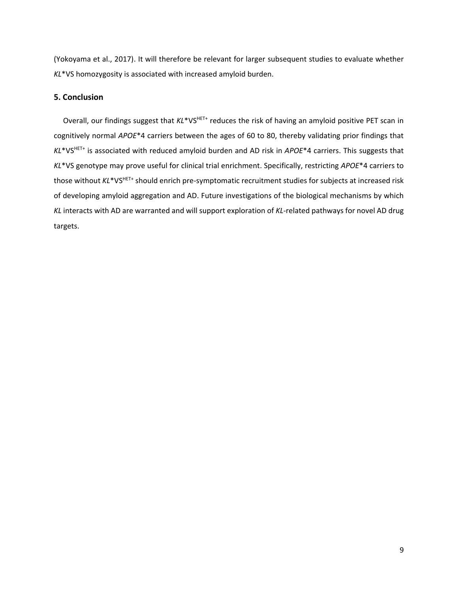(Yokoyama et al., 2017). It will therefore be relevant for larger subsequent studies to evaluate whether *KL*\*VS homozygosity is associated with increased amyloid burden.

## **5. Conclusion**

Overall, our findings suggest that  $KL^*VS^{HET+}$  reduces the risk of having an amyloid positive PET scan in cognitively normal *APOE*\*4 carriers between the ages of 60 to 80, thereby validating prior findings that *KL*\*VSHET+ is associated with reduced amyloid burden and AD risk in *APOE*\*4 carriers. This suggests that *KL*\*VS genotype may prove useful for clinical trial enrichment. Specifically, restricting *APOE*\*4 carriers to those without *KL*\*VSHET+ should enrich pre-symptomatic recruitment studies for subjects at increased risk of developing amyloid aggregation and AD. Future investigations of the biological mechanisms by which *KL* interacts with AD are warranted and will support exploration of *KL*-related pathways for novel AD drug targets.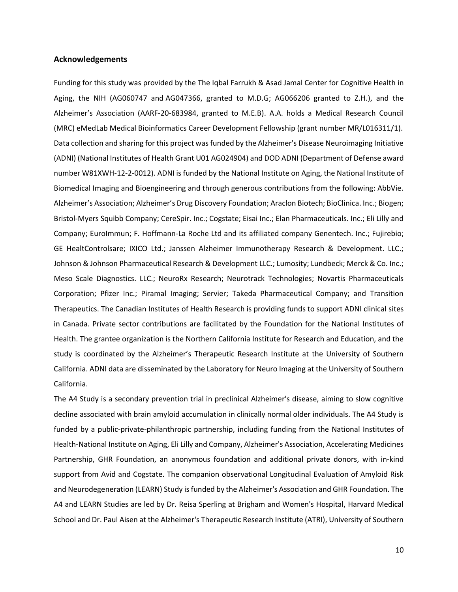#### **Acknowledgements**

Funding for this study was provided by the The Iqbal Farrukh & Asad Jamal Center for Cognitive Health in Aging, the NIH (AG060747 and AG047366, granted to M.D.G; AG066206 granted to Z.H.), and the Alzheimer's Association (AARF-20-683984, granted to M.E.B). A.A. holds a Medical Research Council (MRC) eMedLab Medical Bioinformatics Career Development Fellowship (grant number MR/L016311/1). Data collection and sharing for this project was funded by the Alzheimer's Disease Neuroimaging Initiative (ADNI) (National Institutes of Health Grant U01 AG024904) and DOD ADNI (Department of Defense award number W81XWH-12-2-0012). ADNI is funded by the National Institute on Aging, the National Institute of Biomedical Imaging and Bioengineering and through generous contributions from the following: AbbVie. Alzheimer's Association; Alzheimer's Drug Discovery Foundation; Araclon Biotech; BioClinica. Inc.; Biogen; Bristol-Myers Squibb Company; CereSpir. Inc.; Cogstate; Eisai Inc.; Elan Pharmaceuticals. Inc.; Eli Lilly and Company; EuroImmun; F. Hoffmann-La Roche Ltd and its affiliated company Genentech. Inc.; Fujirebio; GE HealtControlsare; IXICO Ltd.; Janssen Alzheimer Immunotherapy Research & Development. LLC.; Johnson & Johnson Pharmaceutical Research & Development LLC.; Lumosity; Lundbeck; Merck & Co. Inc.; Meso Scale Diagnostics. LLC.; NeuroRx Research; Neurotrack Technologies; Novartis Pharmaceuticals Corporation; Pfizer Inc.; Piramal Imaging; Servier; Takeda Pharmaceutical Company; and Transition Therapeutics. The Canadian Institutes of Health Research is providing funds to support ADNI clinical sites in Canada. Private sector contributions are facilitated by the Foundation for the National Institutes of Health. The grantee organization is the Northern California Institute for Research and Education, and the study is coordinated by the Alzheimer's Therapeutic Research Institute at the University of Southern California. ADNI data are disseminated by the Laboratory for Neuro Imaging at the University of Southern California.

The A4 Study is a secondary prevention trial in preclinical Alzheimer's disease, aiming to slow cognitive decline associated with brain amyloid accumulation in clinically normal older individuals. The A4 Study is funded by a public-private-philanthropic partnership, including funding from the National Institutes of Health-National Institute on Aging, Eli Lilly and Company, Alzheimer's Association, Accelerating Medicines Partnership, GHR Foundation, an anonymous foundation and additional private donors, with in-kind support from Avid and Cogstate. The companion observational Longitudinal Evaluation of Amyloid Risk and Neurodegeneration (LEARN) Study is funded by the Alzheimer's Association and GHR Foundation. The A4 and LEARN Studies are led by Dr. Reisa Sperling at Brigham and Women's Hospital, Harvard Medical School and Dr. Paul Aisen at the Alzheimer's Therapeutic Research Institute (ATRI), University of Southern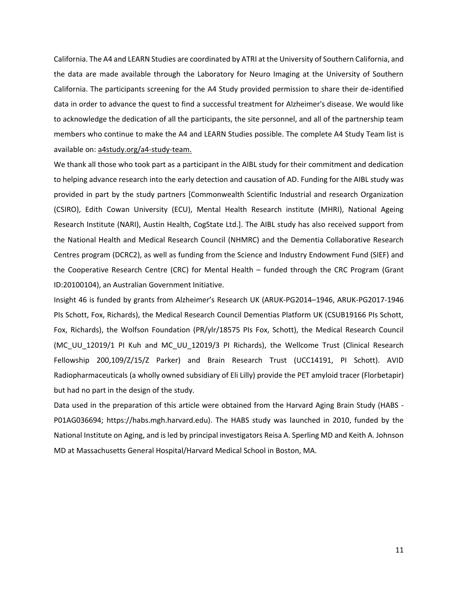California. The A4 and LEARN Studies are coordinated by ATRI at the University of Southern California, and the data are made available through the Laboratory for Neuro Imaging at the University of Southern California. The participants screening for the A4 Study provided permission to share their de-identified data in order to advance the quest to find a successful treatment for Alzheimer's disease. We would like to acknowledge the dedication of all the participants, the site personnel, and all of the partnership team members who continue to make the A4 and LEARN Studies possible. The complete A4 Study Team list is available on: [a4study.org/a4-study-team.](http://a4study.org/a4-study-team/)

We thank all those who took part as a participant in the AIBL study for their commitment and dedication to helping advance research into the early detection and causation of AD. Funding for the AIBL study was provided in part by the study partners [Commonwealth Scientific Industrial and research Organization (CSIRO), Edith Cowan University (ECU), Mental Health Research institute (MHRI), National Ageing Research Institute (NARI), Austin Health, CogState Ltd.]. The AIBL study has also received support from the National Health and Medical Research Council (NHMRC) and the Dementia Collaborative Research Centres program (DCRC2), as well as funding from the Science and Industry Endowment Fund (SIEF) and the Cooperative Research Centre (CRC) for Mental Health – funded through the CRC Program (Grant ID:20100104), an Australian Government Initiative.

Insight 46 is funded by grants from Alzheimer's Research UK (ARUK-PG2014–1946, ARUK-PG2017-1946 PIs Schott, Fox, Richards), the Medical Research Council Dementias Platform UK (CSUB19166 PIs Schott, Fox, Richards), the Wolfson Foundation (PR/ylr/18575 PIs Fox, Schott), the Medical Research Council (MC\_UU\_12019/1 PI Kuh and MC\_UU\_12019/3 PI Richards), the Wellcome Trust (Clinical Research Fellowship 200,109/Z/15/Z Parker) and Brain Research Trust (UCC14191, PI Schott). AVID Radiopharmaceuticals (a wholly owned subsidiary of Eli Lilly) provide the PET amyloid tracer (Florbetapir) but had no part in the design of the study.

Data used in the preparation of this article were obtained from the Harvard Aging Brain Study (HABS - P01AG036694; https://habs.mgh.harvard.edu). The HABS study was launched in 2010, funded by the National Institute on Aging, and is led by principal investigators Reisa A. Sperling MD and Keith A. Johnson MD at Massachusetts General Hospital/Harvard Medical School in Boston, MA.

11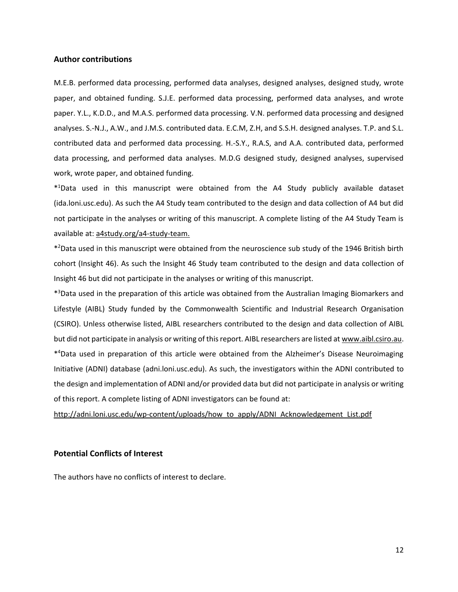#### **Author contributions**

M.E.B. performed data processing, performed data analyses, designed analyses, designed study, wrote paper, and obtained funding. S.J.E. performed data processing, performed data analyses, and wrote paper. Y.L., K.D.D., and M.A.S. performed data processing. V.N. performed data processing and designed analyses. S.-N.J., A.W., and J.M.S. contributed data. E.C.M, Z.H, and S.S.H. designed analyses. T.P. and S.L. contributed data and performed data processing. H.-S.Y., R.A.S, and A.A. contributed data, performed data processing, and performed data analyses. M.D.G designed study, designed analyses, supervised work, wrote paper, and obtained funding.

\* <sup>1</sup>Data used in this manuscript were obtained from the A4 Study publicly available dataset (ida.loni.usc.edu). As such the A4 Study team contributed to the design and data collection of A4 but did not participate in the analyses or writing of this manuscript. A complete listing of the A4 Study Team is available at: [a4study.org/a4-study-team.](http://a4study.org/a4-study-team/)

\* <sup>2</sup>Data used in this manuscript were obtained from the neuroscience sub study of the 1946 British birth cohort (Insight 46). As such the Insight 46 Study team contributed to the design and data collection of Insight 46 but did not participate in the analyses or writing of this manuscript.

\* <sup>3</sup>Data used in the preparation of this article was obtained from the Australian Imaging Biomarkers and Lifestyle (AIBL) Study funded by the Commonwealth Scientific and Industrial Research Organisation (CSIRO). Unless otherwise listed, AIBL researchers contributed to the design and data collection of AIBL but did not participate in analysis or writing of this report. AIBL researchers are listed at [www.aibl.csiro.au.](http://www.aibl.csiro.au/) \* <sup>4</sup>Data used in preparation of this article were obtained from the Alzheimer's Disease Neuroimaging Initiative (ADNI) database (adni.loni.usc.edu). As such, the investigators within the ADNI contributed to the design and implementation of ADNI and/or provided data but did not participate in analysis or writing of this report. A complete listing of ADNI investigators can be found at:

[http://adni.loni.usc.edu/wp-content/uploads/how\\_to\\_apply/ADNI\\_Acknowledgement\\_List.pdf](http://adni.loni.usc.edu/wp-content/uploads/how_to_apply/ADNI_Acknowledgement_List.pdf)

## **Potential Conflicts of Interest**

The authors have no conflicts of interest to declare.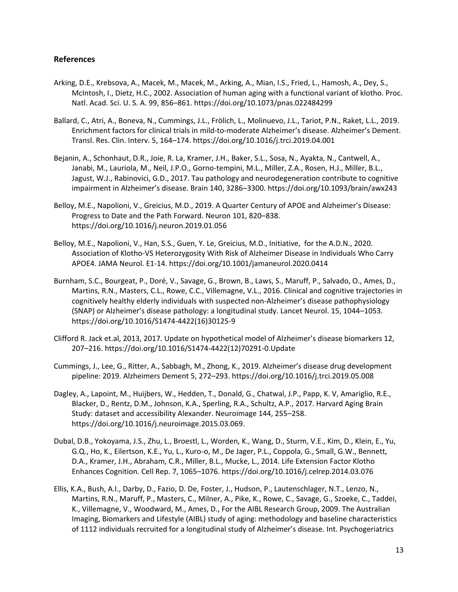## **References**

- Arking, D.E., Krebsova, A., Macek, M., Macek, M., Arking, A., Mian, I.S., Fried, L., Hamosh, A., Dey, S., McIntosh, I., Dietz, H.C., 2002. Association of human aging with a functional variant of klotho. Proc. Natl. Acad. Sci. U. S. A. 99, 856–861. https://doi.org/10.1073/pnas.022484299
- Ballard, C., Atri, A., Boneva, N., Cummings, J.L., Frölich, L., Molinuevo, J.L., Tariot, P.N., Raket, L.L., 2019. Enrichment factors for clinical trials in mild-to-moderate Alzheimer's disease. Alzheimer's Dement. Transl. Res. Clin. Interv. 5, 164–174. https://doi.org/10.1016/j.trci.2019.04.001
- Bejanin, A., Schonhaut, D.R., Joie, R. La, Kramer, J.H., Baker, S.L., Sosa, N., Ayakta, N., Cantwell, A., Janabi, M., Lauriola, M., Neil, J.P.O., Gorno-tempini, M.L., Miller, Z.A., Rosen, H.J., Miller, B.L., Jagust, W.J., Rabinovici, G.D., 2017. Tau pathology and neurodegeneration contribute to cognitive impairment in Alzheimer's disease. Brain 140, 3286–3300. https://doi.org/10.1093/brain/awx243
- Belloy, M.E., Napolioni, V., Greicius, M.D., 2019. A Quarter Century of APOE and Alzheimer's Disease: Progress to Date and the Path Forward. Neuron 101, 820–838. https://doi.org/10.1016/j.neuron.2019.01.056
- Belloy, M.E., Napolioni, V., Han, S.S., Guen, Y. Le, Greicius, M.D., Initiative, for the A.D.N., 2020. Association of Klotho-VS Heterozygosity With Risk of Alzheimer Disease in Individuals Who Carry APOE4. JAMA Neurol. E1-14. https://doi.org/10.1001/jamaneurol.2020.0414
- Burnham, S.C., Bourgeat, P., Doré, V., Savage, G., Brown, B., Laws, S., Maruff, P., Salvado, O., Ames, D., Martins, R.N., Masters, C.L., Rowe, C.C., Villemagne, V.L., 2016. Clinical and cognitive trajectories in cognitively healthy elderly individuals with suspected non-Alzheimer's disease pathophysiology (SNAP) or Alzheimer's disease pathology: a longitudinal study. Lancet Neurol. 15, 1044–1053. https://doi.org/10.1016/S1474-4422(16)30125-9
- Clifford R. Jack et.al, 2013, 2017. Update on hypothetical model of Alzheimer's disease biomarkers 12, 207–216. https://doi.org/10.1016/S1474-4422(12)70291-0.Update
- Cummings, J., Lee, G., Ritter, A., Sabbagh, M., Zhong, K., 2019. Alzheimer's disease drug development pipeline: 2019. Alzheimers Dement 5, 272–293. https://doi.org/10.1016/j.trci.2019.05.008
- Dagley, A., Lapoint, M., Huijbers, W., Hedden, T., Donald, G., Chatwal, J.P., Papp, K. V, Amariglio, R.E., Blacker, D., Rentz, D.M., Johnson, K.A., Sperling, R.A., Schultz, A.P., 2017. Harvard Aging Brain Study: dataset and accessibility Alexander. Neuroimage 144, 255–258. https://doi.org/10.1016/j.neuroimage.2015.03.069.
- Dubal, D.B., Yokoyama, J.S., Zhu, L., Broestl, L., Worden, K., Wang, D., Sturm, V.E., Kim, D., Klein, E., Yu, G.Q., Ho, K., Eilertson, K.E., Yu, L., Kuro-o, M., De Jager, P.L., Coppola, G., Small, G.W., Bennett, D.A., Kramer, J.H., Abraham, C.R., Miller, B.L., Mucke, L., 2014. Life Extension Factor Klotho Enhances Cognition. Cell Rep. 7, 1065–1076. https://doi.org/10.1016/j.celrep.2014.03.076
- Ellis, K.A., Bush, A.I., Darby, D., Fazio, D. De, Foster, J., Hudson, P., Lautenschlager, N.T., Lenzo, N., Martins, R.N., Maruff, P., Masters, C., Milner, A., Pike, K., Rowe, C., Savage, G., Szoeke, C., Taddei, K., Villemagne, V., Woodward, M., Ames, D., For the AIBL Research Group, 2009. The Australian Imaging, Biomarkers and Lifestyle (AIBL) study of aging: methodology and baseline characteristics of 1112 individuals recruited for a longitudinal study of Alzheimer's disease. Int. Psychogeriatrics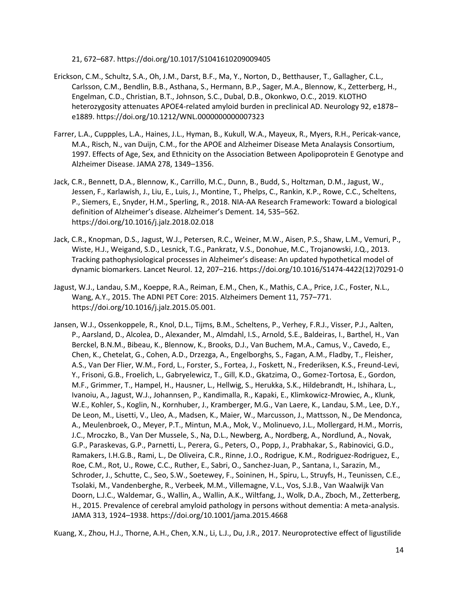21, 672–687. https://doi.org/10.1017/S1041610209009405

- Erickson, C.M., Schultz, S.A., Oh, J.M., Darst, B.F., Ma, Y., Norton, D., Betthauser, T., Gallagher, C.L., Carlsson, C.M., Bendlin, B.B., Asthana, S., Hermann, B.P., Sager, M.A., Blennow, K., Zetterberg, H., Engelman, C.D., Christian, B.T., Johnson, S.C., Dubal, D.B., Okonkwo, O.C., 2019. KLOTHO heterozygosity attenuates APOE4-related amyloid burden in preclinical AD. Neurology 92, e1878– e1889. https://doi.org/10.1212/WNL.0000000000007323
- Farrer, L.A., Cuppples, L.A., Haines, J.L., Hyman, B., Kukull, W.A., Mayeux, R., Myers, R.H., Pericak-vance, M.A., Risch, N., van Duijn, C.M., for the APOE and Alzheimer Disease Meta Analaysis Consortium, 1997. Effects of Age, Sex, and Ethnicity on the Association Between Apolipoprotein E Genotype and Alzheimer Disease. JAMA 278, 1349–1356.
- Jack, C.R., Bennett, D.A., Blennow, K., Carrillo, M.C., Dunn, B., Budd, S., Holtzman, D.M., Jagust, W., Jessen, F., Karlawish, J., Liu, E., Luis, J., Montine, T., Phelps, C., Rankin, K.P., Rowe, C.C., Scheltens, P., Siemers, E., Snyder, H.M., Sperling, R., 2018. NIA-AA Research Framework: Toward a biological definition of Alzheimer's disease. Alzheimer's Dement. 14, 535–562. https://doi.org/10.1016/j.jalz.2018.02.018
- Jack, C.R., Knopman, D.S., Jagust, W.J., Petersen, R.C., Weiner, M.W., Aisen, P.S., Shaw, L.M., Vemuri, P., Wiste, H.J., Weigand, S.D., Lesnick, T.G., Pankratz, V.S., Donohue, M.C., Trojanowski, J.Q., 2013. Tracking pathophysiological processes in Alzheimer's disease: An updated hypothetical model of dynamic biomarkers. Lancet Neurol. 12, 207–216. https://doi.org/10.1016/S1474-4422(12)70291-0
- Jagust, W.J., Landau, S.M., Koeppe, R.A., Reiman, E.M., Chen, K., Mathis, C.A., Price, J.C., Foster, N.L., Wang, A.Y., 2015. The ADNI PET Core: 2015. Alzheimers Dement 11, 757–771. https://doi.org/10.1016/j.jalz.2015.05.001.
- Jansen, W.J., Ossenkoppele, R., Knol, D.L., Tijms, B.M., Scheltens, P., Verhey, F.R.J., Visser, P.J., Aalten, P., Aarsland, D., Alcolea, D., Alexander, M., Almdahl, I.S., Arnold, S.E., Baldeiras, I., Barthel, H., Van Berckel, B.N.M., Bibeau, K., Blennow, K., Brooks, D.J., Van Buchem, M.A., Camus, V., Cavedo, E., Chen, K., Chetelat, G., Cohen, A.D., Drzezga, A., Engelborghs, S., Fagan, A.M., Fladby, T., Fleisher, A.S., Van Der Flier, W.M., Ford, L., Forster, S., Fortea, J., Foskett, N., Frederiksen, K.S., Freund-Levi, Y., Frisoni, G.B., Froelich, L., Gabryelewicz, T., Gill, K.D., Gkatzima, O., Gomez-Tortosa, E., Gordon, M.F., Grimmer, T., Hampel, H., Hausner, L., Hellwig, S., Herukka, S.K., Hildebrandt, H., Ishihara, L., Ivanoiu, A., Jagust, W.J., Johannsen, P., Kandimalla, R., Kapaki, E., Klimkowicz-Mrowiec, A., Klunk, W.E., Kohler, S., Koglin, N., Kornhuber, J., Kramberger, M.G., Van Laere, K., Landau, S.M., Lee, D.Y., De Leon, M., Lisetti, V., Lleo, A., Madsen, K., Maier, W., Marcusson, J., Mattsson, N., De Mendonca, A., Meulenbroek, O., Meyer, P.T., Mintun, M.A., Mok, V., Molinuevo, J.L., Mollergard, H.M., Morris, J.C., Mroczko, B., Van Der Mussele, S., Na, D.L., Newberg, A., Nordberg, A., Nordlund, A., Novak, G.P., Paraskevas, G.P., Parnetti, L., Perera, G., Peters, O., Popp, J., Prabhakar, S., Rabinovici, G.D., Ramakers, I.H.G.B., Rami, L., De Oliveira, C.R., Rinne, J.O., Rodrigue, K.M., Rodriguez-Rodriguez, E., Roe, C.M., Rot, U., Rowe, C.C., Ruther, E., Sabri, O., Sanchez-Juan, P., Santana, I., Sarazin, M., Schroder, J., Schutte, C., Seo, S.W., Soetewey, F., Soininen, H., Spiru, L., Struyfs, H., Teunissen, C.E., Tsolaki, M., Vandenberghe, R., Verbeek, M.M., Villemagne, V.L., Vos, S.J.B., Van Waalwijk Van Doorn, L.J.C., Waldemar, G., Wallin, A., Wallin, A.K., Wiltfang, J., Wolk, D.A., Zboch, M., Zetterberg, H., 2015. Prevalence of cerebral amyloid pathology in persons without dementia: A meta-analysis. JAMA 313, 1924–1938. https://doi.org/10.1001/jama.2015.4668

Kuang, X., Zhou, H.J., Thorne, A.H., Chen, X.N., Li, L.J., Du, J.R., 2017. Neuroprotective effect of ligustilide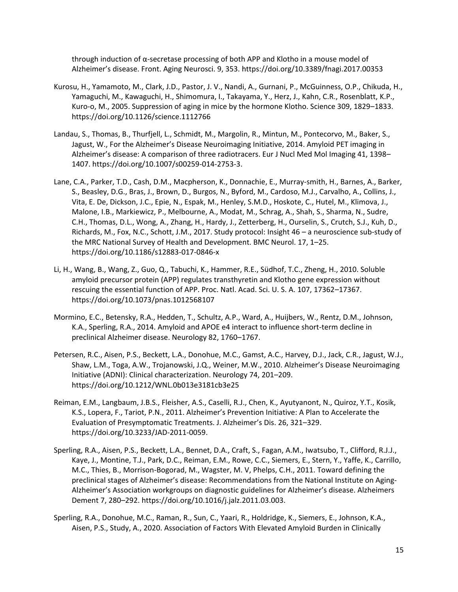through induction of α-secretase processing of both APP and Klotho in a mouse model of Alzheimer's disease. Front. Aging Neurosci. 9, 353. https://doi.org/10.3389/fnagi.2017.00353

- Kurosu, H., Yamamoto, M., Clark, J.D., Pastor, J. V., Nandi, A., Gurnani, P., McGuinness, O.P., Chikuda, H., Yamaguchi, M., Kawaguchi, H., Shimomura, I., Takayama, Y., Herz, J., Kahn, C.R., Rosenblatt, K.P., Kuro-o, M., 2005. Suppression of aging in mice by the hormone Klotho. Science 309, 1829–1833. https://doi.org/10.1126/science.1112766
- Landau, S., Thomas, B., Thurfjell, L., Schmidt, M., Margolin, R., Mintun, M., Pontecorvo, M., Baker, S., Jagust, W., For the Alzheimer's Disease Neuroimaging Initiative, 2014. Amyloid PET imaging in Alzheimer's disease: A comparison of three radiotracers. Eur J Nucl Med Mol Imaging 41, 1398– 1407. https://doi.org/10.1007/s00259-014-2753-3.
- Lane, C.A., Parker, T.D., Cash, D.M., Macpherson, K., Donnachie, E., Murray-smith, H., Barnes, A., Barker, S., Beasley, D.G., Bras, J., Brown, D., Burgos, N., Byford, M., Cardoso, M.J., Carvalho, A., Collins, J., Vita, E. De, Dickson, J.C., Epie, N., Espak, M., Henley, S.M.D., Hoskote, C., Hutel, M., Klimova, J., Malone, I.B., Markiewicz, P., Melbourne, A., Modat, M., Schrag, A., Shah, S., Sharma, N., Sudre, C.H., Thomas, D.L., Wong, A., Zhang, H., Hardy, J., Zetterberg, H., Ourselin, S., Crutch, S.J., Kuh, D., Richards, M., Fox, N.C., Schott, J.M., 2017. Study protocol: Insight 46 – a neuroscience sub-study of the MRC National Survey of Health and Development. BMC Neurol. 17, 1–25. https://doi.org/10.1186/s12883-017-0846-x
- Li, H., Wang, B., Wang, Z., Guo, Q., Tabuchi, K., Hammer, R.E., Südhof, T.C., Zheng, H., 2010. Soluble amyloid precursor protein (APP) regulates transthyretin and Klotho gene expression without rescuing the essential function of APP. Proc. Natl. Acad. Sci. U. S. A. 107, 17362–17367. https://doi.org/10.1073/pnas.1012568107
- Mormino, E.C., Betensky, R.A., Hedden, T., Schultz, A.P., Ward, A., Huijbers, W., Rentz, D.M., Johnson, K.A., Sperling, R.A., 2014. Amyloid and APOE e4 interact to influence short-term decline in preclinical Alzheimer disease. Neurology 82, 1760–1767.
- Petersen, R.C., Aisen, P.S., Beckett, L.A., Donohue, M.C., Gamst, A.C., Harvey, D.J., Jack, C.R., Jagust, W.J., Shaw, L.M., Toga, A.W., Trojanowski, J.Q., Weiner, M.W., 2010. Alzheimer's Disease Neuroimaging Initiative (ADNI): Clinical characterization. Neurology 74, 201–209. https://doi.org/10.1212/WNL.0b013e3181cb3e25
- Reiman, E.M., Langbaum, J.B.S., Fleisher, A.S., Caselli, R.J., Chen, K., Ayutyanont, N., Quiroz, Y.T., Kosik, K.S., Lopera, F., Tariot, P.N., 2011. Alzheimer's Prevention Initiative: A Plan to Accelerate the Evaluation of Presymptomatic Treatments. J. Alzheimer's Dis. 26, 321–329. https://doi.org/10.3233/JAD-2011-0059.
- Sperling, R.A., Aisen, P.S., Beckett, L.A., Bennet, D.A., Craft, S., Fagan, A.M., Iwatsubo, T., Clifford, R.J.J., Kaye, J., Montine, T.J., Park, D.C., Reiman, E.M., Rowe, C.C., Siemers, E., Stern, Y., Yaffe, K., Carrillo, M.C., Thies, B., Morrison-Bogorad, M., Wagster, M. V, Phelps, C.H., 2011. Toward defining the preclinical stages of Alzheimer's disease: Recommendations from the National Institute on Aging-Alzheimer's Association workgroups on diagnostic guidelines for Alzheimer's disease. Alzheimers Dement 7, 280–292. https://doi.org/10.1016/j.jalz.2011.03.003.
- Sperling, R.A., Donohue, M.C., Raman, R., Sun, C., Yaari, R., Holdridge, K., Siemers, E., Johnson, K.A., Aisen, P.S., Study, A., 2020. Association of Factors With Elevated Amyloid Burden in Clinically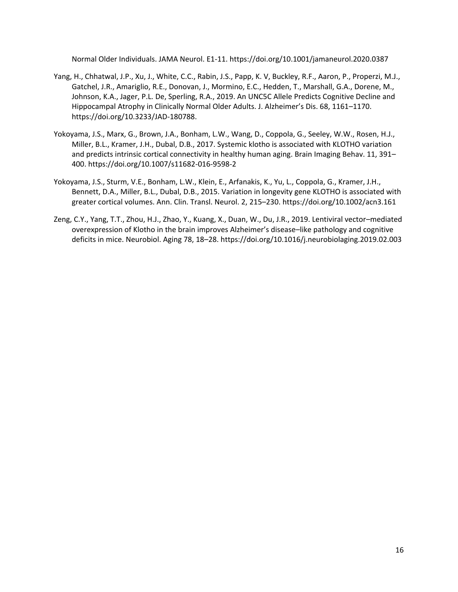Normal Older Individuals. JAMA Neurol. E1-11. https://doi.org/10.1001/jamaneurol.2020.0387

- Yang, H., Chhatwal, J.P., Xu, J., White, C.C., Rabin, J.S., Papp, K. V, Buckley, R.F., Aaron, P., Properzi, M.J., Gatchel, J.R., Amariglio, R.E., Donovan, J., Mormino, E.C., Hedden, T., Marshall, G.A., Dorene, M., Johnson, K.A., Jager, P.L. De, Sperling, R.A., 2019. An UNC5C Allele Predicts Cognitive Decline and Hippocampal Atrophy in Clinically Normal Older Adults. J. Alzheimer's Dis. 68, 1161–1170. https://doi.org/10.3233/JAD-180788.
- Yokoyama, J.S., Marx, G., Brown, J.A., Bonham, L.W., Wang, D., Coppola, G., Seeley, W.W., Rosen, H.J., Miller, B.L., Kramer, J.H., Dubal, D.B., 2017. Systemic klotho is associated with KLOTHO variation and predicts intrinsic cortical connectivity in healthy human aging. Brain Imaging Behav. 11, 391– 400. https://doi.org/10.1007/s11682-016-9598-2
- Yokoyama, J.S., Sturm, V.E., Bonham, L.W., Klein, E., Arfanakis, K., Yu, L., Coppola, G., Kramer, J.H., Bennett, D.A., Miller, B.L., Dubal, D.B., 2015. Variation in longevity gene KLOTHO is associated with greater cortical volumes. Ann. Clin. Transl. Neurol. 2, 215–230. https://doi.org/10.1002/acn3.161
- Zeng, C.Y., Yang, T.T., Zhou, H.J., Zhao, Y., Kuang, X., Duan, W., Du, J.R., 2019. Lentiviral vector–mediated overexpression of Klotho in the brain improves Alzheimer's disease–like pathology and cognitive deficits in mice. Neurobiol. Aging 78, 18–28. https://doi.org/10.1016/j.neurobiolaging.2019.02.003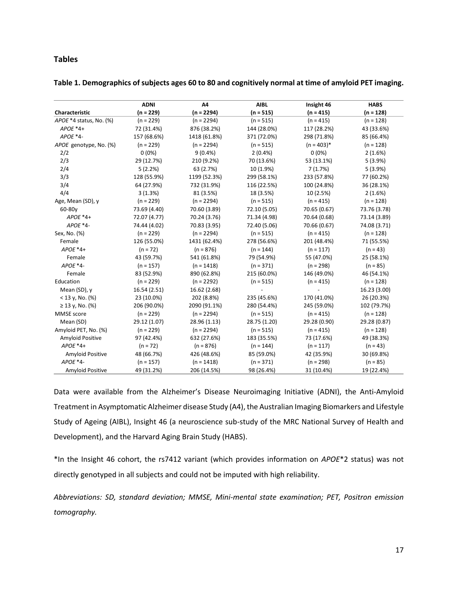# **Tables**

|                         | <b>ADNI</b>  | A4           | <b>AIBL</b>  | Insight 46    | <b>HABS</b>  |  |
|-------------------------|--------------|--------------|--------------|---------------|--------------|--|
| Characteristic          | $(n = 229)$  | $(n = 2294)$ | $(n = 515)$  | $(n = 415)$   | $(n = 128)$  |  |
| APOE *4 status, No. (%) | $(n = 229)$  | $(n = 2294)$ | $(n = 515)$  | $(n = 415)$   | $(n = 128)$  |  |
| $APOE*4+$               | 72 (31.4%)   | 876 (38.2%)  | 144 (28.0%)  | 117 (28.2%)   | 43 (33.6%)   |  |
| $APOE*4-$               | 157 (68.6%)  | 1418 (61.8%) | 371 (72.0%)  | 298 (71.8%)   | 85 (66.4%)   |  |
| APOE genotype, No. (%)  | $(n = 229)$  | $(n = 2294)$ | $(n = 515)$  | $(n = 403)^*$ | $(n = 128)$  |  |
| 2/2                     | $0(0\%)$     | $9(0.4\%)$   | 2(0.4%       | $0(0\%)$      | 2(1.6%)      |  |
| 2/3                     | 29 (12.7%)   | 210 (9.2%)   | 70 (13.6%)   | 53 (13.1%)    | 5(3.9%)      |  |
| 2/4                     | 5(2.2%)      | 63 (2.7%)    | 10 (1.9%)    | 7(1.7%)       | 5(3.9%)      |  |
| 3/3                     | 128 (55.9%)  | 1199 (52.3%) | 299 (58.1%)  | 233 (57.8%)   | 77 (60.2%)   |  |
| 3/4                     | 64 (27.9%)   | 732 (31.9%)  | 116 (22.5%)  | 100 (24.8%)   | 36 (28.1%)   |  |
| 4/4                     | 3(1.3%)      | 81 (3.5%)    | 18 (3.5%)    | 10 (2.5%)     | 2(1.6%)      |  |
| Age, Mean (SD), y       | $(n = 229)$  | $(n = 2294)$ | $(n = 515)$  | $(n = 415)$   | $(n = 128)$  |  |
| 60-80y                  | 73.69 (4.40) | 70.60 (3.89) | 72.10 (5.05) | 70.65 (0.67)  | 73.76 (3.78) |  |
| $APOE*4+$               | 72.07 (4.77) | 70.24 (3.76) | 71.34 (4.98) | 70.64 (0.68)  | 73.14 (3.89) |  |
| APOE *4-                | 74.44 (4.02) | 70.83 (3.95) | 72.40 (5.06) | 70.66 (0.67)  | 74.08 (3.71) |  |
| Sex, No. (%)            | $(n = 229)$  | $(n = 2294)$ | $(n = 515)$  | $(n = 415)$   | $(n = 128)$  |  |
| Female                  | 126 (55.0%)  | 1431 (62.4%) | 278 (56.6%)  | 201 (48.4%)   | 71 (55.5%)   |  |
| $APOE*4+$               | $(n = 72)$   | $(n = 876)$  | $(n = 144)$  | $(n = 117)$   | $(n = 43)$   |  |
| Female                  | 43 (59.7%)   | 541 (61.8%)  | 79 (54.9%)   | 55 (47.0%)    | 25 (58.1%)   |  |
| APOE *4-                | $(n = 157)$  | $(n = 1418)$ | $(n = 371)$  | $(n = 298)$   | $(n = 85)$   |  |
| Female                  | 83 (52.9%)   | 890 (62.8%)  | 215 (60.0%)  | 146 (49.0%)   | 46 (54.1%)   |  |
| Education               | $(n = 229)$  | $(n = 2292)$ | $(n = 515)$  | $(n = 415)$   | $(n = 128)$  |  |
| Mean (SD), y            | 16.54(2.51)  | 16.62 (2.68) |              |               | 16.23 (3.00) |  |
| $<$ 13 y, No. (%)       | 23 (10.0%)   | 202 (8.8%)   | 235 (45.6%)  | 170 (41.0%)   | 26 (20.3%)   |  |
| $≥ 13$ y, No. (%)       | 206 (90.0%)  | 2090 (91.1%) | 280 (54.4%)  | 245 (59.0%)   | 102 (79.7%)  |  |
| MMSE score              | $(n = 229)$  | $(n = 2294)$ | $(n = 515)$  | $(n = 415)$   | $(n = 128)$  |  |
| Mean (SD)               | 29.12 (1.07) | 28.96 (1.13) | 28.75 (1.20) | 29.28 (0.90)  | 29.28 (0.87) |  |
| Amyloid PET, No. (%)    | $(n = 229)$  | $(n = 2294)$ | $(n = 515)$  | $(n = 415)$   | $(n = 128)$  |  |
| Amyloid Positive        | 97 (42.4%)   | 632 (27.6%)  | 183 (35.5%)  | 73 (17.6%)    | 49 (38.3%)   |  |
| $APOE*4+$               | $(n = 72)$   | $(n = 876)$  | $(n = 144)$  | $(n = 117)$   | $(n = 43)$   |  |
| Amyloid Positive        | 48 (66.7%)   | 426 (48.6%)  | 85 (59.0%)   | 42 (35.9%)    | 30 (69.8%)   |  |
| APOE *4-                | $(n = 157)$  | $(n = 1418)$ | $(n = 371)$  | $(n = 298)$   | $(n = 85)$   |  |
| Amyloid Positive        | 49 (31.2%)   | 206 (14.5%)  | 98 (26.4%)   | 31 (10.4%)    | 19 (22.4%)   |  |

**Table 1. Demographics of subjects ages 60 to 80 and cognitively normal at time of amyloid PET imaging.**

Data were available from the Alzheimer's Disease Neuroimaging Initiative (ADNI), the Anti-Amyloid Treatment in Asymptomatic Alzheimer disease Study (A4), the Australian Imaging Biomarkers and Lifestyle Study of Ageing (AIBL), Insight 46 (a neuroscience sub-study of the MRC National Survey of Health and Development), and the Harvard Aging Brain Study (HABS).

\*In the Insight 46 cohort, the rs7412 variant (which provides information on *APOE*\*2 status) was not directly genotyped in all subjects and could not be imputed with high reliability.

*Abbreviations: SD, standard deviation; MMSE, Mini-mental state examination; PET, Positron emission tomography.*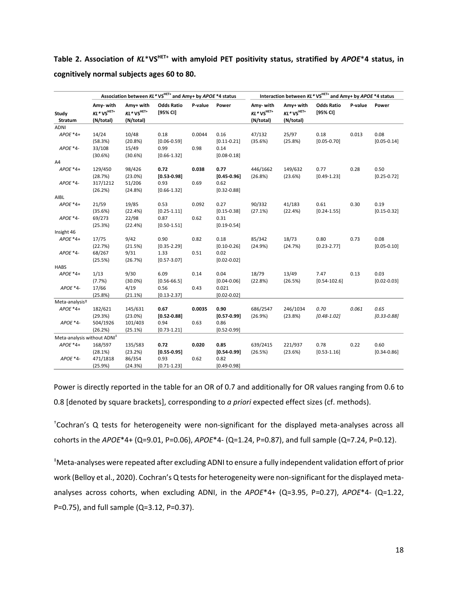**Table 2. Association of** *KL*\***VSHET+ with amyloid PET positivity status, stratified by** *APOE*\***4 status, in cognitively normal subjects ages 60 to 80.**

|                                         | Association between KL* VS <sup>HET+</sup> and Amy+ by APOE *4 status |                              |                               |         | Interaction between $KL^*VS^{HET+}$ and Amy+ by APOE *4 status |                             |                              |                               |         |                 |
|-----------------------------------------|-----------------------------------------------------------------------|------------------------------|-------------------------------|---------|----------------------------------------------------------------|-----------------------------|------------------------------|-------------------------------|---------|-----------------|
| Study                                   | Amy-with<br>$KL*VS^{HET+}$                                            | Amy+ with<br>$KL^*VS^{HET+}$ | <b>Odds Ratio</b><br>[95% CI] | P-value | Power                                                          | Amy-with<br>$KL^*VS^{HET+}$ | Amy+ with<br>$KL^*VS^{HET+}$ | <b>Odds Ratio</b><br>[95% CI] | P-value | Power           |
| Stratum                                 | (N/total)                                                             | (N/total)                    |                               |         |                                                                | (N/total)                   | (N/total)                    |                               |         |                 |
| ADNI                                    |                                                                       |                              |                               |         |                                                                |                             |                              |                               |         |                 |
| APOE *4+                                | 14/24                                                                 | 10/48                        | 0.18                          | 0.0044  | 0.16                                                           | 47/132                      | 25/97                        | 0.18                          | 0.013   | 0.08            |
|                                         | (58.3%)                                                               | (20.8%)                      | $[0.06 - 0.59]$               |         | $[0.11 - 0.21]$                                                | (35.6%)                     | (25.8%)                      | $[0.05 - 0.70]$               |         | $[0.05 - 0.14]$ |
| APOE *4-                                | 33/108                                                                | 15/49                        | 0.99                          | 0.98    | 0.14                                                           |                             |                              |                               |         |                 |
|                                         | (30.6%)                                                               | (30.6%)                      | $[0.66 - 1.32]$               |         | $[0.08 - 0.18]$                                                |                             |                              |                               |         |                 |
| A4                                      |                                                                       |                              |                               |         |                                                                |                             |                              |                               |         |                 |
| APOE *4+                                | 129/450                                                               | 98/426                       | 0.72                          | 0.038   | 0.77                                                           | 446/1662                    | 149/632                      | 0.77                          | 0.28    | 0.50            |
|                                         | (28.7%)                                                               | (23.0%)                      | $[0.53 - 0.98]$               |         | $[0.45 - 0.96]$                                                | (26.8%)                     | (23.6%)                      | $[0.49 - 1.23]$               |         | $[0.25 - 0.72]$ |
| APOE *4-                                | 317/1212                                                              | 51/206                       | 0.93                          | 0.69    | 0.62                                                           |                             |                              |                               |         |                 |
|                                         | (26.2%)                                                               | (24.8%)                      | $[0.66 - 1.32]$               |         | $[0.32 - 0.88]$                                                |                             |                              |                               |         |                 |
| AIBL                                    |                                                                       |                              |                               |         |                                                                |                             |                              |                               |         |                 |
| $APOE*4+$                               | 21/59                                                                 | 19/85                        | 0.53                          | 0.092   | 0.27                                                           | 90/332                      | 41/183                       | 0.61                          | 0.30    | 0.19            |
|                                         | (35.6%)                                                               | (22.4%)                      | $[0.25 - 1.11]$               |         | $[0.15 - 0.38]$                                                | (27.1%)                     | (22.4%)                      | $[0.24 - 1.55]$               |         | $[0.15 - 0.32]$ |
| APOE *4-                                | 69/273                                                                | 22/98                        | 0.87                          | 0.62    | 0.31                                                           |                             |                              |                               |         |                 |
|                                         | (25.3%)                                                               | (22.4%)                      | $[0.50 - 1.51]$               |         | $[0.19 - 0.54]$                                                |                             |                              |                               |         |                 |
| Insight 46                              |                                                                       |                              |                               |         |                                                                |                             |                              |                               |         |                 |
| $APOE*4+$                               | 17/75                                                                 | 9/42                         | 0.90                          | 0.82    | 0.18                                                           | 85/342                      | 18/73                        | 0.80                          | 0.73    | 0.08            |
|                                         | (22.7%)                                                               | (21.5%)                      | $[0.35 - 2.29]$               |         | $[0.10 - 0.26]$                                                | (24.9%)                     | (24.7%)                      | $[0.23 - 2.77]$               |         | $[0.05 - 0.10]$ |
| $APOE*4-$                               | 68/267                                                                | 9/31                         | 1.33                          | 0.51    | 0.02                                                           |                             |                              |                               |         |                 |
|                                         | (25.5%)                                                               | (26.7%)                      | $[0.57 - 3.07]$               |         | $[0.02 - 0.02]$                                                |                             |                              |                               |         |                 |
| <b>HABS</b>                             |                                                                       |                              |                               |         |                                                                |                             |                              |                               |         |                 |
| $APOE*4+$                               | 1/13                                                                  | 9/30                         | 6.09                          | 0.14    | 0.04                                                           | 18/79                       | 13/49                        | 7.47                          | 0.13    | 0.03            |
|                                         | (7.7%)                                                                | $(30.0\%)$                   | $[0.56 - 66.5]$               |         | $[0.04 - 0.06]$                                                | (22.8%)                     | (26.5%)                      | $[0.54 - 102.6]$              |         | $[0.02 - 0.03]$ |
| APOE *4-                                | 17/66                                                                 | 4/19                         | 0.56                          | 0.43    | 0.021                                                          |                             |                              |                               |         |                 |
|                                         | (25.8%)                                                               | (21.1%)                      | $[0.13 - 2.37]$               |         | $[0.02 - 0.02]$                                                |                             |                              |                               |         |                 |
| Meta-analysis <sup>+</sup>              |                                                                       |                              |                               |         |                                                                |                             |                              |                               |         |                 |
| $APOE*4+$                               | 182/621                                                               | 145/631                      | 0.67                          | 0.0035  | 0.90                                                           | 686/2547                    | 246/1034                     | 0.70                          | 0.061   | 0.65            |
|                                         | (29.3%)                                                               | $(23.0\%)$                   | $[0.52 - 0.88]$               |         | $[0.57 - 0.99]$                                                | (26.9%)                     | (23.8%)                      | $[0.48 - 1.02]$               |         | $[0.33 - 0.88]$ |
| $APOE*4-$                               | 504/1926                                                              | 101/403                      | 0.94                          | 0.63    | 0.86                                                           |                             |                              |                               |         |                 |
|                                         | (26.2%)                                                               | (25.1%)                      | $[0.73 - 1.21]$               |         | $[0.52 - 0.99]$                                                |                             |                              |                               |         |                 |
| Meta-analysis without ADNI <sup>#</sup> |                                                                       |                              |                               |         |                                                                |                             |                              |                               |         |                 |
| $APOE*4+$                               | 168/597                                                               | 135/583                      | 0.72                          | 0.020   | 0.85                                                           | 639/2415                    | 221/937                      | 0.78                          | 0.22    | 0.60            |
|                                         | (28.1%)                                                               | (23.2%)                      | $[0.55 - 0.95]$               |         | $[0.54 - 0.99]$                                                | (26.5%)                     | (23.6%)                      | $[0.53 - 1.16]$               |         | $[0.34 - 0.86]$ |
| APOE *4-                                | 471/1818                                                              | 86/354                       | 0.93                          | 0.62    | 0.82                                                           |                             |                              |                               |         |                 |
|                                         | (25.9%)                                                               | (24.3%)                      | $[0.71 - 1.23]$               |         | $[0.49 - 0.98]$                                                |                             |                              |                               |         |                 |

Power is directly reported in the table for an OR of 0.7 and additionally for OR values ranging from 0.6 to 0.8 [denoted by square brackets], corresponding to *a priori* expected effect sizes (cf. methods).

†Cochran's Q tests for heterogeneity were non-significant for the displayed meta-analyses across all cohorts in the *APOE*\*4+ (Q=9.01, P=0.06), *APOE*\*4- (Q=1.24, P=0.87), and full sample (Q=7.24, P=0.12).

‡Meta-analyses were repeated after excluding ADNI to ensure a fully independent validation effort of prior work (Belloy et al., 2020). Cochran's Q tests for heterogeneity were non-significant for the displayed metaanalyses across cohorts, when excluding ADNI, in the *APOE*\*4+ (Q=3.95, P=0.27), *APOE*\*4- (Q=1.22, P=0.75), and full sample (Q=3.12, P=0.37).